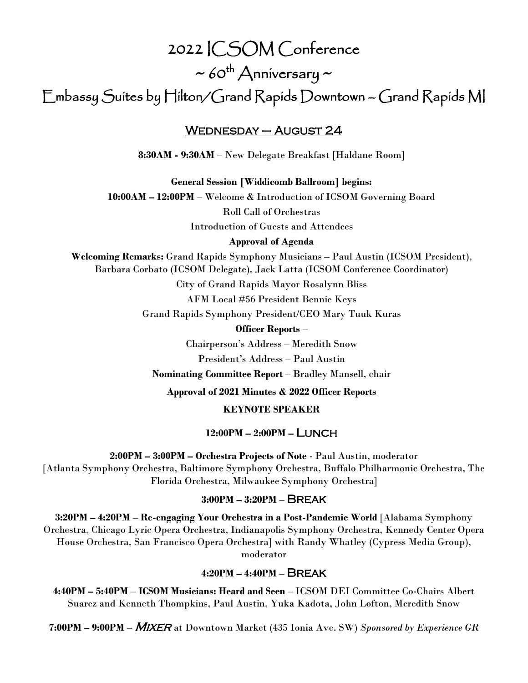# 2022 ICSOM Conference

 $\sim$  60<sup>th</sup> Anniversary  $\sim$ 

Embassy Suites by Hilton/Grand Rapids Downtown – Grand Rapids MI

## Wednesday – August 24

**8:30AM - 9:30AM** – New Delegate Breakfast [Haldane Room]

**General Session [Widdicomb Ballroom] begins:**

**10:00AM – 12:00PM** – Welcome & Introduction of ICSOM Governing Board

Roll Call of Orchestras Introduction of Guests and Attendees

**Approval of Agenda**

**Welcoming Remarks:** Grand Rapids Symphony Musicians – Paul Austin (ICSOM President), Barbara Corbato (ICSOM Delegate), Jack Latta (ICSOM Conference Coordinator)

City of Grand Rapids Mayor Rosalynn Bliss

AFM Local #56 President Bennie Keys

Grand Rapids Symphony President/CEO Mary Tuuk Kuras

**Officer Reports** –

Chairperson's Address – Meredith Snow

President's Address – Paul Austin

**Nominating Committee Report** – Bradley Mansell, chair

**Approval of 2021 Minutes & 2022 Officer Reports**

**KEYNOTE SPEAKER**

## **12:00PM – 2:00PM –** Lunch

**2:00PM – 3:00PM – Orchestra Projects of Note** - Paul Austin, moderator [Atlanta Symphony Orchestra, Baltimore Symphony Orchestra, Buffalo Philharmonic Orchestra, The Florida Orchestra, Milwaukee Symphony Orchestra]

## **3:00PM – 3:20PM** – Break

**3:20PM – 4:20PM** – **Re-engaging Your Orchestra in a Post-Pandemic World** [Alabama Symphony Orchestra, Chicago Lyric Opera Orchestra, Indianapolis Symphony Orchestra, Kennedy Center Opera House Orchestra, San Francisco Opera Orchestra] with Randy Whatley (Cypress Media Group), moderator

## **4:20PM – 4:40PM** – Break

**4:40PM – 5:40PM** – **ICSOM Musicians: Heard and Seen** – ICSOM DEI Committee Co-Chairs Albert Suarez and Kenneth Thompkins, Paul Austin, Yuka Kadota, John Lofton, Meredith Snow

**7:00PM – 9:00PM –** Mixer at Downtown Market (435 Ionia Ave. SW) *Sponsored by Experience GR*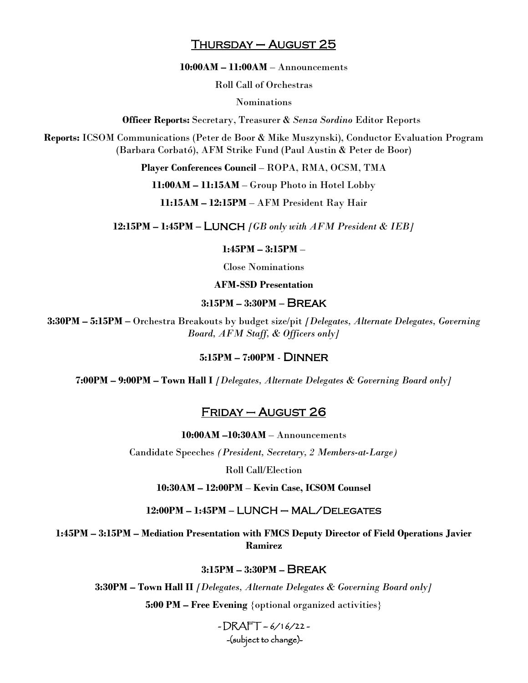## Thursday – August 25

**10:00AM – 11:00AM** – Announcements

Roll Call of Orchestras

Nominations

**Officer Reports:** Secretary, Treasurer & *Senza Sordino* Editor Reports

**Reports:** ICSOM Communications (Peter de Boor & Mike Muszynski), Conductor Evaluation Program (Barbara Corbató), AFM Strike Fund (Paul Austin & Peter de Boor)

**Player Conferences Council** – ROPA, RMA, OCSM, TMA

**11:00AM – 11:15AM** – Group Photo in Hotel Lobby

**11:15AM – 12:15PM** – AFM President Ray Hair

**12:15PM – 1:45PM –** Lunch *[GB only with AFM President & IEB]*

**1:45PM – 3:15PM** –

Close Nominations

**AFM-SSD Presentation**

### **3:15PM – 3:30PM –** Break

**3:30PM – 5:15PM –** Orchestra Breakouts by budget size/pit *[Delegates, Alternate Delegates, Governing Board, AFM Staff, & Officers only]*

### **5:15PM – 7:00PM** - Dinner

**7:00PM – 9:00PM – Town Hall I** *[Delegates, Alternate Delegates & Governing Board only]*

## Friday – August 26

**10:00AM –10:30AM** – Announcements

Candidate Speeches *(President, Secretary, 2 Members-at-Large)*

Roll Call/Election

**10:30AM – 12:00PM** – **Kevin Case, ICSOM Counsel**

**12:00PM – 1:45PM –** LUNCH – MAL/Delegates

**1:45PM – 3:15PM – Mediation Presentation with FMCS Deputy Director of Field Operations Javier Ramirez**

**3:15PM – 3:30PM –** Break

**3:30PM – Town Hall II** *[Delegates, Alternate Delegates & Governing Board only]*

**5:00 PM – Free Evening** {optional organized activities}

 $-DRAFT - 6/16/22 -$ -(subject to change)-